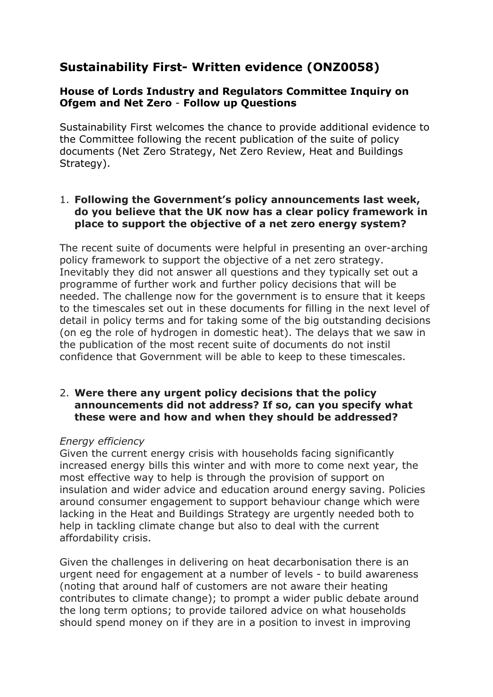# **Sustainability First- Written evidence (ONZ0058)**

## **House of Lords Industry and Regulators Committee Inquiry on Ofgem and Net Zero** - **Follow up Questions**

Sustainability First welcomes the chance to provide additional evidence to the Committee following the recent publication of the suite of policy documents (Net Zero Strategy, Net Zero Review, Heat and Buildings Strategy).

## 1. **Following the Government's policy announcements last week, do you believe that the UK now has a clear policy framework in place to support the objective of a net zero energy system?**

The recent suite of documents were helpful in presenting an over-arching policy framework to support the objective of a net zero strategy. Inevitably they did not answer all questions and they typically set out a programme of further work and further policy decisions that will be needed. The challenge now for the government is to ensure that it keeps to the timescales set out in these documents for filling in the next level of detail in policy terms and for taking some of the big outstanding decisions (on eg the role of hydrogen in domestic heat). The delays that we saw in the publication of the most recent suite of documents do not instil confidence that Government will be able to keep to these timescales.

#### 2. **Were there any urgent policy decisions that the policy announcements did not address? If so, can you specify what these were and how and when they should be addressed?**

#### *Energy efficiency*

Given the current energy crisis with households facing significantly increased energy bills this winter and with more to come next year, the most effective way to help is through the provision of support on insulation and wider advice and education around energy saving. Policies around consumer engagement to support behaviour change which were lacking in the Heat and Buildings Strategy are urgently needed both to help in tackling climate change but also to deal with the current affordability crisis.

Given the challenges in delivering on heat decarbonisation there is an urgent need for engagement at a number of levels - to build awareness (noting that around half of customers are not aware their heating contributes to climate change); to prompt a wider public debate around the long term options; to provide tailored advice on what households should spend money on if they are in a position to invest in improving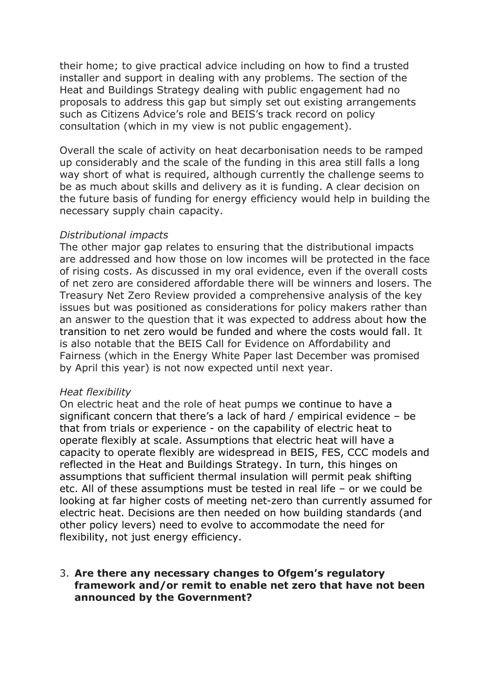their home; to give practical advice including on how to find a trusted installer and support in dealing with any problems. The section of the Heat and Buildings Strategy dealing with public engagement had no proposals to address this gap but simply set out existing arrangements such as Citizens Advice's role and BEIS's track record on policy consultation (which in my view is not public engagement).

Overall the scale of activity on heat decarbonisation needs to be ramped up considerably and the scale of the funding in this area still falls a long way short of what is required, although currently the challenge seems to be as much about skills and delivery as it is funding. A clear decision on the future basis of funding for energy efficiency would help in building the necessary supply chain capacity.

#### *Distributional impacts*

The other major gap relates to ensuring that the distributional impacts are addressed and how those on low incomes will be protected in the face of rising costs. As discussed in my oral evidence, even if the overall costs of net zero are considered affordable there will be winners and losers. The Treasury Net Zero Review provided a comprehensive analysis of the key issues but was positioned as considerations for policy makers rather than an answer to the question that it was expected to address about how the transition to net zero would be funded and where the costs would fall. It is also notable that the BEIS Call for Evidence on Affordability and Fairness (which in the Energy White Paper last December was promised by April this year) is not now expected until next year.

#### *Heat flexibility*

On electric heat and the role of heat pumps we continue to have a significant concern that there's a lack of hard / empirical evidence – be that from trials or experience - on the capability of electric heat to operate flexibly at scale. Assumptions that electric heat will have a capacity to operate flexibly are widespread in BEIS, FES, CCC models and reflected in the Heat and Buildings Strategy. In turn, this hinges on assumptions that sufficient thermal insulation will permit peak shifting etc. All of these assumptions must be tested in real life – or we could be looking at far higher costs of meeting net-zero than currently assumed for electric heat. Decisions are then needed on how building standards (and other policy levers) need to evolve to accommodate the need for flexibility, not just energy efficiency.

#### 3. **Are there any necessary changes to Ofgem's regulatory framework and/or remit to enable net zero that have not been announced by the Government?**